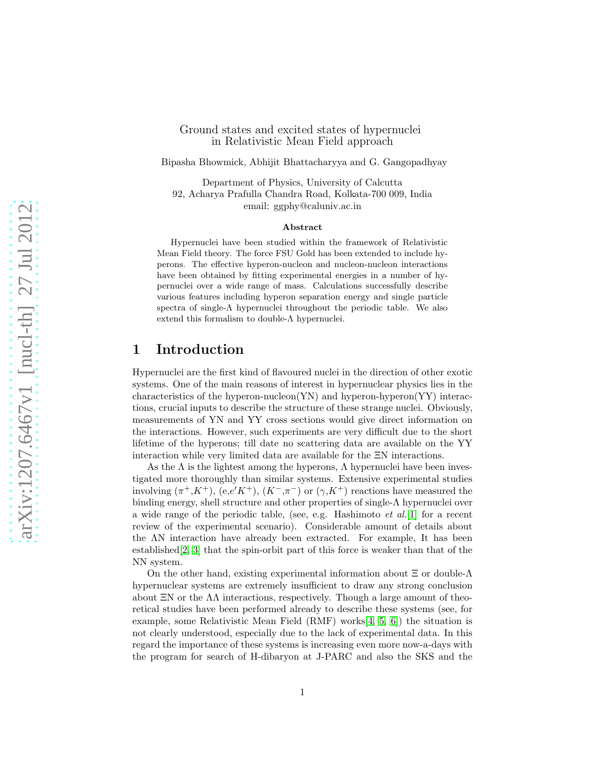## Ground states and excited states of hypernuclei in Relativistic Mean Field approach

Bipasha Bhowmick, Abhijit Bhattacharyya and G. Gangopadhyay

Department of Physics, University of Calcutta 92, Acharya Prafulla Chandra Road, Kolkata-700 009, India email: ggphy@caluniv.ac.in

#### Abstract

Hypernuclei have been studied within the framework of Relativistic Mean Field theory. The force FSU Gold has been extended to include hyperons. The effective hyperon-nucleon and nucleon-nucleon interactions have been obtained by fitting experimental energies in a number of hypernuclei over a wide range of mass. Calculations successfully describe various features including hyperon separation energy and single particle spectra of single- $\Lambda$  hypernuclei throughout the periodic table. We also extend this formalism to double-Λ hypernuclei.

## 1 Introduction

Hypernuclei are the first kind of flavoured nuclei in the direction of other exotic systems. One of the main reasons of interest in hypernuclear physics lies in the characteristics of the hyperon-nucleon $(YN)$  and hyperon-hyperon $(YY)$  interactions, crucial inputs to describe the structure of these strange nuclei. Obviously, measurements of YN and YY cross sections would give direct information on the interactions. However, such experiments are very difficult due to the short lifetime of the hyperons; till date no scattering data are available on the YY interaction while very limited data are available for the ΞN interactions.

As the  $\Lambda$  is the lightest among the hyperons,  $\Lambda$  hypernuclei have been investigated more thoroughly than similar systems. Extensive experimental studies involving  $(\pi^+, K^+)$ ,  $(e,e'K^+)$ ,  $(K^-, \pi^-)$  or  $(\gamma, K^+)$  reactions have measured the binding energy, shell structure and other properties of single-Λ hypernuclei over a wide range of the periodic table, (see, e.g. Hashimoto *et al.*[\[1\]](#page-13-0) for a recent review of the experimental scenario). Considerable amount of details about the ΛN interaction have already been extracted. For example, It has been established[\[2,](#page-13-1) [3\]](#page-13-2) that the spin-orbit part of this force is weaker than that of the NN system.

On the other hand, existing experimental information about  $\Xi$  or double- $\Lambda$ hypernuclear systems are extremely insufficient to draw any strong conclusion about  $\Xi$ N or the  $\Lambda\Lambda$  interactions, respectively. Though a large amount of theoretical studies have been performed already to describe these systems (see, for example, some Relativistic Mean Field (RMF) works[\[4,](#page-13-3) [5,](#page-13-4) [6\]](#page-13-5)) the situation is not clearly understood, especially due to the lack of experimental data. In this regard the importance of these systems is increasing even more now-a-days with the program for search of H-dibaryon at J-PARC and also the SKS and the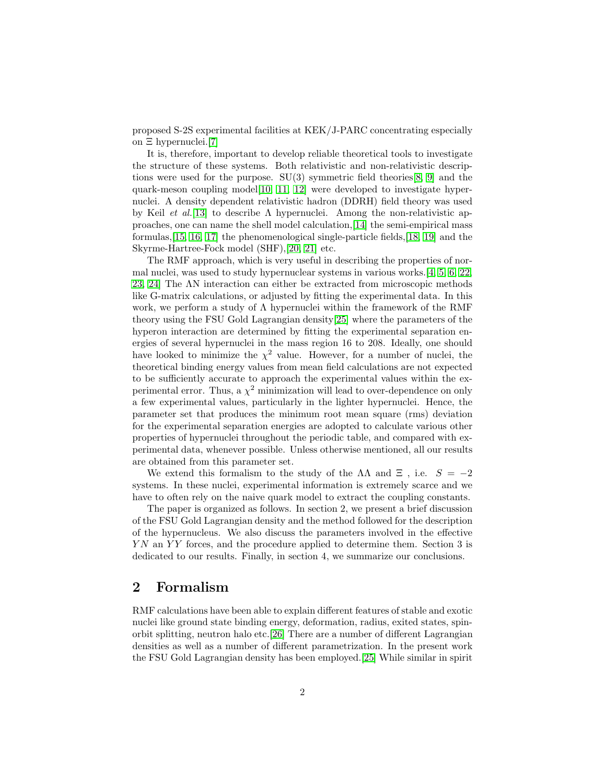proposed S-2S experimental facilities at KEK/J-PARC concentrating especially on Ξ hypernuclei.[\[7\]](#page-13-6)

It is, therefore, important to develop reliable theoretical tools to investigate the structure of these systems. Both relativistic and non-relativistic descriptions were used for the purpose.  $SU(3)$  symmetric field theories [\[8,](#page-13-7) [9\]](#page-13-8) and the quark-meson coupling model[\[10,](#page-13-9) [11,](#page-13-10) [12\]](#page-13-11) were developed to investigate hypernuclei. A density dependent relativistic hadron (DDRH) field theory was used by Keil *et al.*[\[13\]](#page-13-12) to describe Λ hypernuclei. Among the non-relativistic approaches, one can name the shell model calculation,[\[14\]](#page-13-13) the semi-empirical mass formulas,[\[15,](#page-13-14) [16,](#page-13-15) [17\]](#page-13-16) the phenomenological single-particle fields,[\[18,](#page-13-17) [19\]](#page-13-18) and the Skyrme-Hartree-Fock model (SHF),[\[20,](#page-13-19) [21\]](#page-14-0) etc.

The RMF approach, which is very useful in describing the properties of normal nuclei, was used to study hypernuclear systems in various works.[\[4,](#page-13-3) [5,](#page-13-4) [6,](#page-13-5) [22,](#page-14-1) [23,](#page-14-2) [24\]](#page-14-3) The ΛN interaction can either be extracted from microscopic methods like G-matrix calculations, or adjusted by fitting the experimental data. In this work, we perform a study of  $\Lambda$  hypernuclei within the framework of the RMF theory using the FSU Gold Lagrangian density[\[25\]](#page-14-4) where the parameters of the hyperon interaction are determined by fitting the experimental separation energies of several hypernuclei in the mass region 16 to 208. Ideally, one should have looked to minimize the  $\chi^2$  value. However, for a number of nuclei, the theoretical binding energy values from mean field calculations are not expected to be sufficiently accurate to approach the experimental values within the experimental error. Thus, a  $\chi^2$  minimization will lead to over-dependence on only a few experimental values, particularly in the lighter hypernuclei. Hence, the parameter set that produces the minimum root mean square (rms) deviation for the experimental separation energies are adopted to calculate various other properties of hypernuclei throughout the periodic table, and compared with experimental data, whenever possible. Unless otherwise mentioned, all our results are obtained from this parameter set.

We extend this formalism to the study of the  $\Lambda\Lambda$  and  $\Xi$ , i.e.  $S = -2$ systems. In these nuclei, experimental information is extremely scarce and we have to often rely on the naive quark model to extract the coupling constants.

The paper is organized as follows. In section 2, we present a brief discussion of the FSU Gold Lagrangian density and the method followed for the description of the hypernucleus. We also discuss the parameters involved in the effective YN an YY forces, and the procedure applied to determine them. Section 3 is dedicated to our results. Finally, in section 4, we summarize our conclusions.

# 2 Formalism

RMF calculations have been able to explain different features of stable and exotic nuclei like ground state binding energy, deformation, radius, exited states, spinorbit splitting, neutron halo etc.[\[26\]](#page-14-5) There are a number of different Lagrangian densities as well as a number of different parametrization. In the present work the FSU Gold Lagrangian density has been employed.[\[25\]](#page-14-4) While similar in spirit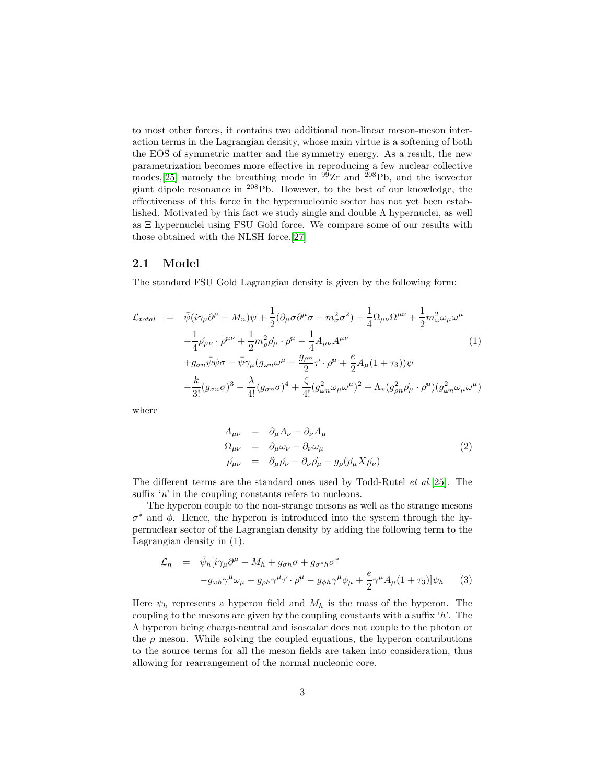to most other forces, it contains two additional non-linear meson-meson interaction terms in the Lagrangian density, whose main virtue is a softening of both the EOS of symmetric matter and the symmetry energy. As a result, the new parametrization becomes more effective in reproducing a few nuclear collective modes,[\[25\]](#page-14-4) namely the breathing mode in  $99Zr$  and  $208Pb$ , and the isovector giant dipole resonance in <sup>208</sup>Pb. However, to the best of our knowledge, the effectiveness of this force in the hypernucleonic sector has not yet been established. Motivated by this fact we study single and double  $\Lambda$  hypernuclei, as well as Ξ hypernuclei using FSU Gold force. We compare some of our results with those obtained with the NLSH force.[\[27\]](#page-14-6)

#### 2.1 Model

The standard FSU Gold Lagrangian density is given by the following form:

$$
\mathcal{L}_{total} = \bar{\psi}(i\gamma_{\mu}\partial^{\mu} - M_{n})\psi + \frac{1}{2}(\partial_{\mu}\sigma\partial^{\mu}\sigma - m_{\sigma}^{2}\sigma^{2}) - \frac{1}{4}\Omega_{\mu\nu}\Omega^{\mu\nu} + \frac{1}{2}m_{\omega}^{2}\omega_{\mu}\omega^{\mu} \n- \frac{1}{4}\vec{\rho}_{\mu\nu}\cdot\vec{\rho}^{\mu\nu} + \frac{1}{2}m_{\rho}^{2}\vec{\rho}_{\mu}\cdot\vec{\rho}^{\mu} - \frac{1}{4}A_{\mu\nu}A^{\mu\nu} \n+ g_{\sigma n}\bar{\psi}\psi\sigma - \bar{\psi}\gamma_{\mu}(g_{\omega n}\omega^{\mu} + \frac{g_{\rho n}}{2}\vec{\tau}\cdot\vec{\rho}^{\mu} + \frac{e}{2}A_{\mu}(1+\tau_{3}))\psi \n- \frac{k}{3!}(g_{\sigma n}\sigma)^{3} - \frac{\lambda}{4!}(g_{\sigma n}\sigma)^{4} + \frac{\zeta}{4!}(g_{\omega n}^{2}\omega_{\mu}\omega^{\mu})^{2} + \Lambda_{v}(g_{\rho n}^{2}\vec{\rho}_{\mu}\cdot\vec{\rho}^{\mu})(g_{\omega n}^{2}\omega_{\mu}\omega^{\mu})
$$
\n(1)

where

$$
A_{\mu\nu} = \partial_{\mu}A_{\nu} - \partial_{\nu}A_{\mu}
$$
  
\n
$$
\Omega_{\mu\nu} = \partial_{\mu}\omega_{\nu} - \partial_{\nu}\omega_{\mu}
$$
  
\n
$$
\vec{\rho}_{\mu\nu} = \partial_{\mu}\vec{\rho}_{\nu} - \partial_{\nu}\vec{\rho}_{\mu} - g_{\rho}(\vec{\rho}_{\mu}X\vec{\rho}_{\nu})
$$
\n(2)

The different terms are the standard ones used by Todd-Rutel *et al.*[\[25\]](#page-14-4). The suffix '*n*' in the coupling constants refers to nucleons.

The hyperon couple to the non-strange mesons as well as the strange mesons  $σ^*$  and  $φ$ . Hence, the hyperon is introduced into the system through the hypernuclear sector of the Lagrangian density by adding the following term to the Lagrangian density in (1).

$$
\mathcal{L}_h = \bar{\psi}_h [i\gamma_\mu \partial^\mu - M_h + g_{\sigma h} \sigma + g_{\sigma^* h} \sigma^* \n-g_{\omega h} \gamma^\mu \omega_\mu - g_{\rho h} \gamma^\mu \vec{\tau} \cdot \vec{\rho}^\mu - g_{\phi h} \gamma^\mu \phi_\mu + \frac{e}{2} \gamma^\mu A_\mu (1 + \tau_3)] \psi_h \qquad (3)
$$

Here  $\psi_h$  represents a hyperon field and  $M_h$  is the mass of the hyperon. The coupling to the mesons are given by the coupling constants with a suffix  $'h$ . The Λ hyperon being charge-neutral and isoscalar does not couple to the photon or the  $\rho$  meson. While solving the coupled equations, the hyperon contributions to the source terms for all the meson fields are taken into consideration, thus allowing for rearrangement of the normal nucleonic core.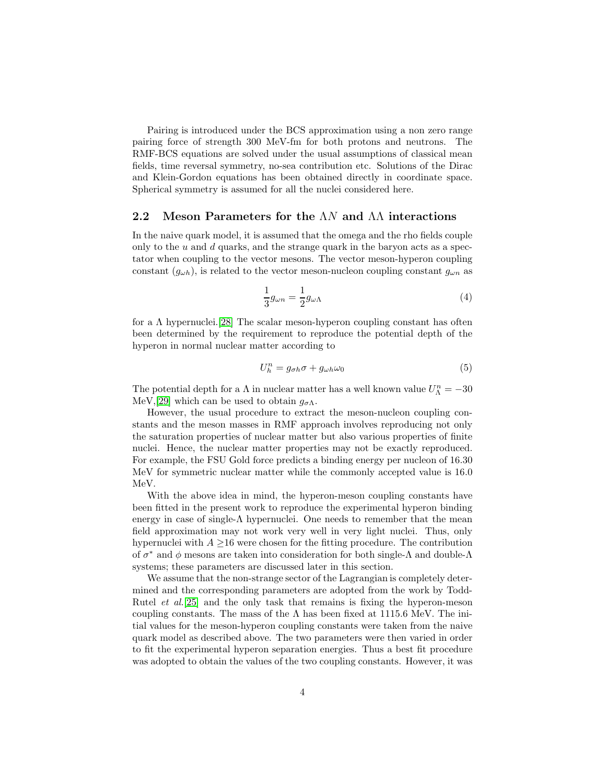Pairing is introduced under the BCS approximation using a non zero range pairing force of strength 300 MeV-fm for both protons and neutrons. The RMF-BCS equations are solved under the usual assumptions of classical mean fields, time reversal symmetry, no-sea contribution etc. Solutions of the Dirac and Klein-Gordon equations has been obtained directly in coordinate space. Spherical symmetry is assumed for all the nuclei considered here.

### 2.2 Meson Parameters for the  $\Lambda N$  and  $\Lambda\Lambda$  interactions

In the naive quark model, it is assumed that the omega and the rho fields couple only to the u and d quarks, and the strange quark in the baryon acts as a spectator when coupling to the vector mesons. The vector meson-hyperon coupling constant  $(g_{\omega h})$ , is related to the vector meson-nucleon coupling constant  $g_{\omega n}$  as

$$
\frac{1}{3}g_{\omega n} = \frac{1}{2}g_{\omega\Lambda} \tag{4}
$$

for a  $\Lambda$  hypernuclei.[\[28\]](#page-14-7) The scalar meson-hyperon coupling constant has often been determined by the requirement to reproduce the potential depth of the hyperon in normal nuclear matter according to

$$
U_h^n = g_{\sigma h} \sigma + g_{\omega h} \omega_0 \tag{5}
$$

The potential depth for a  $\Lambda$  in nuclear matter has a well known value  $U_{\Lambda}^n = -30$ MeV,[\[29\]](#page-14-8) which can be used to obtain  $g_{\sigma\Lambda}$ .

However, the usual procedure to extract the meson-nucleon coupling constants and the meson masses in RMF approach involves reproducing not only the saturation properties of nuclear matter but also various properties of finite nuclei. Hence, the nuclear matter properties may not be exactly reproduced. For example, the FSU Gold force predicts a binding energy per nucleon of 16.30 MeV for symmetric nuclear matter while the commonly accepted value is 16.0 MeV.

With the above idea in mind, the hyperon-meson coupling constants have been fitted in the present work to reproduce the experimental hyperon binding energy in case of single- $\Lambda$  hypernuclei. One needs to remember that the mean field approximation may not work very well in very light nuclei. Thus, only hypernuclei with  $A \geq 16$  were chosen for the fitting procedure. The contribution of  $\sigma^*$  and  $\phi$  mesons are taken into consideration for both single- $\Lambda$  and double- $\Lambda$ systems; these parameters are discussed later in this section.

We assume that the non-strange sector of the Lagrangian is completely determined and the corresponding parameters are adopted from the work by Todd-Rutel *et al.*[\[25\]](#page-14-4) and the only task that remains is fixing the hyperon-meson coupling constants. The mass of the  $\Lambda$  has been fixed at 1115.6 MeV. The initial values for the meson-hyperon coupling constants were taken from the naive quark model as described above. The two parameters were then varied in order to fit the experimental hyperon separation energies. Thus a best fit procedure was adopted to obtain the values of the two coupling constants. However, it was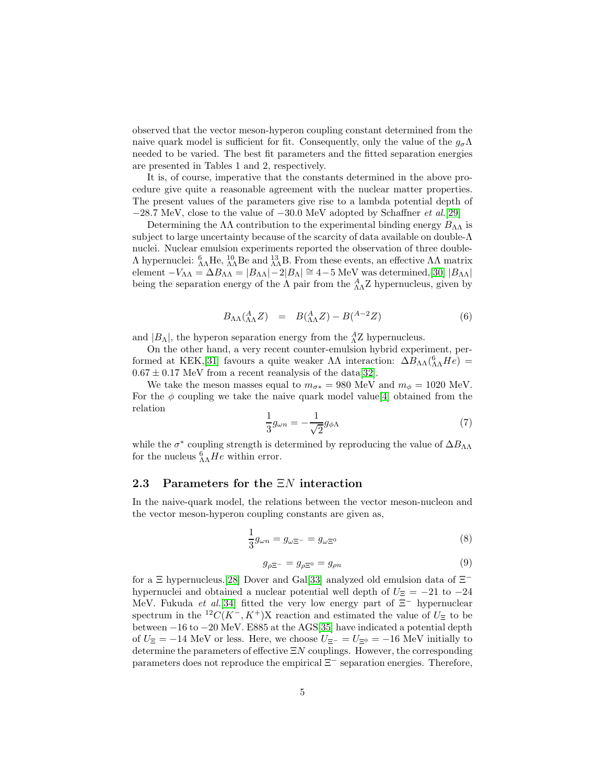observed that the vector meson-hyperon coupling constant determined from the naive quark model is sufficient for fit. Consequently, only the value of the  $g_{\sigma} \Lambda$ needed to be varied. The best fit parameters and the fitted separation energies are presented in Tables 1 and 2, respectively.

It is, of course, imperative that the constants determined in the above procedure give quite a reasonable agreement with the nuclear matter properties. The present values of the parameters give rise to a lambda potential depth of −28.7 MeV, close to the value of −30.0 MeV adopted by Schaffner *et al.*[\[29\]](#page-14-8)

Determining the  $\Lambda\Lambda$  contribution to the experimental binding energy  $B_{\Lambda\Lambda}$  is subject to large uncertainty because of the scarcity of data available on double-Λ nuclei. Nuclear emulsion experiments reported the observation of three double- $Λ$  hypernuclei:  $^{6}_{Λ\Lambda}$ He,  $^{10}_{Λ}$ Be and  $^{13}_{Λ}$ B. From these events, an effective  $ΛΛ$  matrix element  $-V_{\Lambda\Lambda} = \Delta B_{\Lambda\Lambda} = |B_{\Lambda\Lambda}| - 2|B_{\Lambda}| \approx 4-5$  MeV was determined,[\[30\]](#page-14-9)  $|B_{\Lambda\Lambda}|$ being the separation energy of the  $\Lambda$  pair from the  ${}_{\Lambda\Lambda}^{A}Z$  hypernucleus, given by

$$
B_{\Lambda\Lambda}({}^{A}_{\Lambda\Lambda}Z) = B({}^{A}_{\Lambda\Lambda}Z) - B({}^{A-2}Z)
$$
\n(6)

and  $|B_\Lambda|$ , the hyperon separation energy from the  ${}^A_\Lambda Z$  hypernucleus.

On the other hand, a very recent counter-emulsion hybrid experiment, per-formed at KEK,[\[31\]](#page-14-10) favours a quite weaker  $\Lambda\Lambda$  interaction:  $\Delta B_{\Lambda\Lambda}({}^6_{\Lambda\Lambda}He)$  =  $0.67 \pm 0.17$  MeV from a recent reanalysis of the data[\[32\]](#page-14-11).

We take the meson masses equal to  $m_{\sigma*} = 980$  MeV and  $m_{\phi} = 1020$  MeV. For the  $\phi$  coupling we take the naive quark model value [\[4\]](#page-13-3) obtained from the relation

$$
\frac{1}{3}g_{\omega n} = -\frac{1}{\sqrt{2}}g_{\phi\Lambda} \tag{7}
$$

while the  $\sigma^*$  coupling strength is determined by reproducing the value of  $\Delta B_{\Lambda\Lambda}$ for the nucleus  ${}_{\Lambda\Lambda}^{6}He$  within error.

### 2.3 Parameters for the  $\Xi N$  interaction

In the naive-quark model, the relations between the vector meson-nucleon and the vector meson-hyperon coupling constants are given as,

$$
\frac{1}{3}g_{\omega n} = g_{\omega \Xi^{-}} = g_{\omega \Xi^{0}}
$$
\n(8)

$$
g_{\rho \Xi^{-}} = g_{\rho \Xi^{0}} = g_{\rho n} \tag{9}
$$

for a  $\Xi$  hypernucleus.[\[28\]](#page-14-7) Dover and Gal[\[33\]](#page-14-12) analyzed old emulsion data of  $\Xi^$ hypernuclei and obtained a nuclear potential well depth of  $U_\Xi = -21$  to  $-24$ MeV. Fukuda *et al.*[\[34\]](#page-14-13) fitted the very low energy part of  $\Xi$ <sup>−</sup> hypernuclear spectrum in the <sup>12</sup>C(K<sup>-</sup>, K<sup>+</sup>)X reaction and estimated the value of  $U_{\Xi}$  to be between −16 to −20 MeV. E885 at the AGS[\[35\]](#page-14-14) have indicated a potential depth of  $U_{\Xi} = -14$  MeV or less. Here, we choose  $U_{\Xi^-} = U_{\Xi^0} = -16$  MeV initially to determine the parameters of effective  $\Xi N$  couplings. However, the corresponding parameters does not reproduce the empirical Ξ<sup>−</sup> separation energies. Therefore,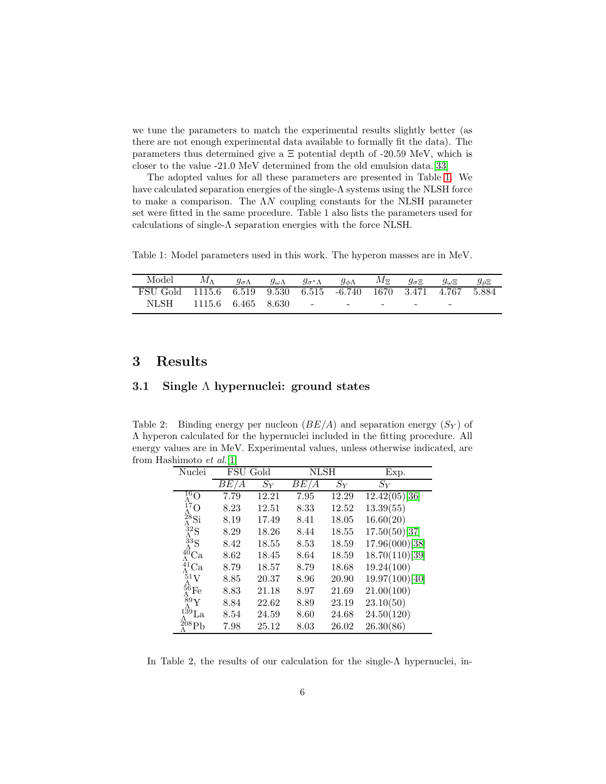we tune the parameters to match the experimental results slightly better (as there are not enough experimental data available to formally fit the data). The parameters thus determined give a  $\Xi$  potential depth of -20.59 MeV, which is closer to the value -21.0 MeV determined from the old emulsion data.[\[33\]](#page-14-12)

The adopted values for all these parameters are presented in Table [1.](#page-5-0) We have calculated separation energies of the single- $\Lambda$  systems using the NLSH force to make a comparison. The  $\Lambda N$  coupling constants for the NLSH parameter set were fitted in the same procedure. Table 1 also lists the parameters used for calculations of single-Λ separation energies with the force NLSH.

<span id="page-5-0"></span>Table 1: Model parameters used in this work. The hyperon masses are in MeV.

| Model                                                           |  |  | $M_{\Lambda}$ $g_{\sigma\Lambda}$ $g_{\omega\Lambda}$ $g_{\sigma^*\Lambda}$ $g_{\phi\Lambda}$ $M_{\Xi}$ $g_{\sigma\Xi}$ $g_{\omega\Xi}$ $g_{\rho\Xi}$ |        |                          |  |
|-----------------------------------------------------------------|--|--|-------------------------------------------------------------------------------------------------------------------------------------------------------|--------|--------------------------|--|
| FSU Gold 1115.6 6.519 9.530 6.515 -6.740 1670 3.471 4.767 5.884 |  |  |                                                                                                                                                       |        |                          |  |
| NLSH 1115.6 6.465 8.630 - - - -                                 |  |  |                                                                                                                                                       | $\sim$ | $\overline{\phantom{0}}$ |  |

# 3 Results

## 3.1 Single Λ hypernuclei: ground states

Table 2: Binding energy per nucleon  $(BE/A)$  and separation energy  $(S_Y)$  of Λ hyperon calculated for the hypernuclei included in the fitting procedure. All energy values are in MeV. Experimental values, unless otherwise indicated, are from Hashimoto *et al.*[\[1\]](#page-13-0)

| Nuclei                                             | FSU<br>Gold |       | NLSH |       | Exp.           |  |
|----------------------------------------------------|-------------|-------|------|-------|----------------|--|
|                                                    | BE/<br>Α    | $S_Y$ | BЕ   | $S_Y$ | $S_Y$          |  |
| $^{16}_{\Lambda} \text{O}$                         | 7.79        | 12.21 | 7.95 | 12.29 | 12.42(05)[36]  |  |
|                                                    | 8.23        | 12.51 | 8.33 | 12.52 | 13.39(55)      |  |
| $^{17}_{\Lambda} \text{O} \over 28 \text{Si}$      | 8.19        | 17.49 | 8.41 | 18.05 | 16.60(20)      |  |
| ${}^{32}_{\Lambda}$ S                              | 8.29        | 18.26 | 8.44 | 18.55 | 17.50(50)[37]  |  |
| ${}^{33}_{\Lambda}$ S                              | 8.42        | 18.55 | 8.53 | 18.59 | 17.96(000)[38] |  |
| $^{40}_{\Lambda}{\rm Ca}$                          | 8.62        | 18.45 | 8.64 | 18.59 | 18.70(110)[39] |  |
| ${}_{\Lambda}^{41}Ca$                              | 8.79        | 18.57 | 8.79 | 18.68 | 19.24(100)     |  |
| $^{51}_{\Lambda}$ V                                | 8.85        | 20.37 | 8.96 | 20.90 | 19.97(100)[40] |  |
| ${}^{56}_\Lambda \text{Fe}$                        | 8.83        | 21.18 | 8.97 | 21.69 | 21.00(100)     |  |
| $\frac{\overline{89}}{\Lambda}Y$ <sub>139</sub> La | 8.84        | 22.62 | 8.89 | 23.19 | 23.10(50)      |  |
|                                                    | 8.54        | 24.59 | 8.60 | 24.68 | 24.50(120)     |  |
| $^{208}_{\Lambda} \mathrm{Pb}$                     | 7.98        | 25.12 | 8.03 | 26.02 | 26.30(86)      |  |

In Table 2, the results of our calculation for the single-Λ hypernuclei, in-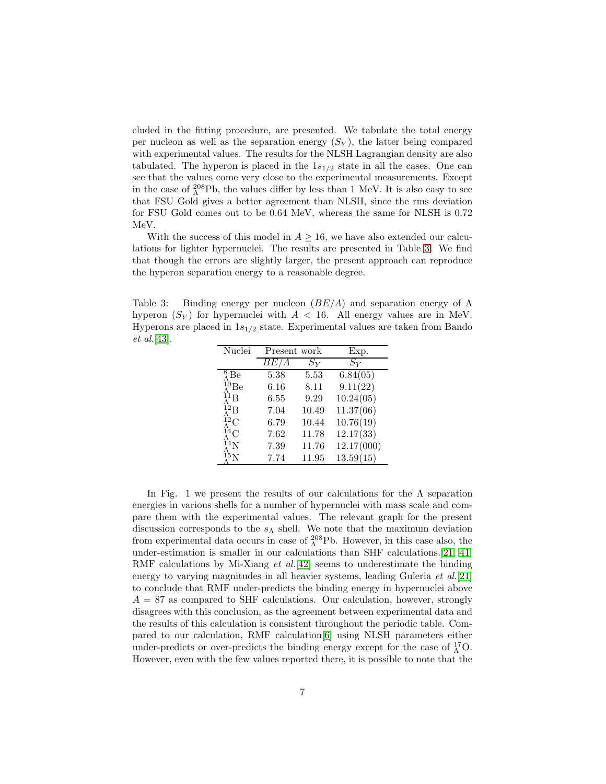cluded in the fitting procedure, are presented. We tabulate the total energy per nucleon as well as the separation energy  $(S_Y)$ , the latter being compared with experimental values. The results for the NLSH Lagrangian density are also tabulated. The hyperon is placed in the  $1s_{1/2}$  state in all the cases. One can see that the values come very close to the experimental measurements. Except in the case of  $^{208}_{\Lambda}Pb$ , the values differ by less than 1 MeV. It is also easy to see that FSU Gold gives a better agreement than NLSH, since the rms deviation for FSU Gold comes out to be 0.64 MeV, whereas the same for NLSH is 0.72 MeV.

With the success of this model in  $A \geq 16$ , we have also extended our calculations for lighter hypernuclei. The results are presented in Table [3.](#page-6-0) We find that though the errors are slightly larger, the present approach can reproduce the hyperon separation energy to a reasonable degree.

<span id="page-6-0"></span>Table 3: Binding energy per nucleon  $(BE/A)$  and separation energy of  $\Lambda$ hyperon  $(S_Y)$  for hypernuclei with  $A < 16$ . All energy values are in MeV. Hyperons are placed in  $1s_{1/2}$  state. Experimental values are taken from Bando *et al.*[\[43\]](#page-14-20).

| Nuclei                     | Present work      |       | Exp.       |
|----------------------------|-------------------|-------|------------|
|                            | $BE/\overline{A}$ | $S_Y$ | $S_Y$      |
| $^8_\Lambda\text{Be}$      | 5.38              | 5.53  | 6.84(05)   |
| $^{10}_{\Lambda}$ Be       | 6.16              | 8.11  | 9.11(22)   |
| $^{11}_{\Lambda}B$         | 6.55              | 9.29  | 10.24(05)  |
| $^{12}_{\Lambda}$ B        | 7.04              | 10.49 | 11.37(06)  |
| ${}^{12}_\Lambda \text{C}$ | 6.79              | 10.44 | 10.76(19)  |
| ${}^{14}_{\Lambda}$ C      | 7.62              | 11.78 | 12.17(33)  |
| $^{14}_{\Lambda}$ N        | 7.39              | 11.76 | 12.17(000) |
| $^{15}{\rm N}$             | 7.74              | 11.95 | 13.59(15)  |

In Fig. 1 we present the results of our calculations for the  $\Lambda$  separation energies in various shells for a number of hypernuclei with mass scale and compare them with the experimental values. The relevant graph for the present discussion corresponds to the  $s_{\Lambda}$  shell. We note that the maximum deviation from experimental data occurs in case of  $^{208}_{\Lambda}Pb$ . However, in this case also, the under-estimation is smaller in our calculations than SHF calculations.[\[21,](#page-14-0) [41\]](#page-14-21) RMF calculations by Mi-Xiang *et al.*[\[42\]](#page-14-22) seems to underestimate the binding energy to varying magnitudes in all heavier systems, leading Guleria *et al.*[\[21\]](#page-14-0) to conclude that RMF under-predicts the binding energy in hypernuclei above  $A = 87$  as compared to SHF calculations. Our calculation, however, strongly disagrees with this conclusion, as the agreement between experimental data and the results of this calculation is consistent throughout the periodic table. Compared to our calculation, RMF calculation[\[6\]](#page-13-5) using NLSH parameters either under-predicts or over-predicts the binding energy except for the case of  $^{17}_{\Lambda}O$ . However, even with the few values reported there, it is possible to note that the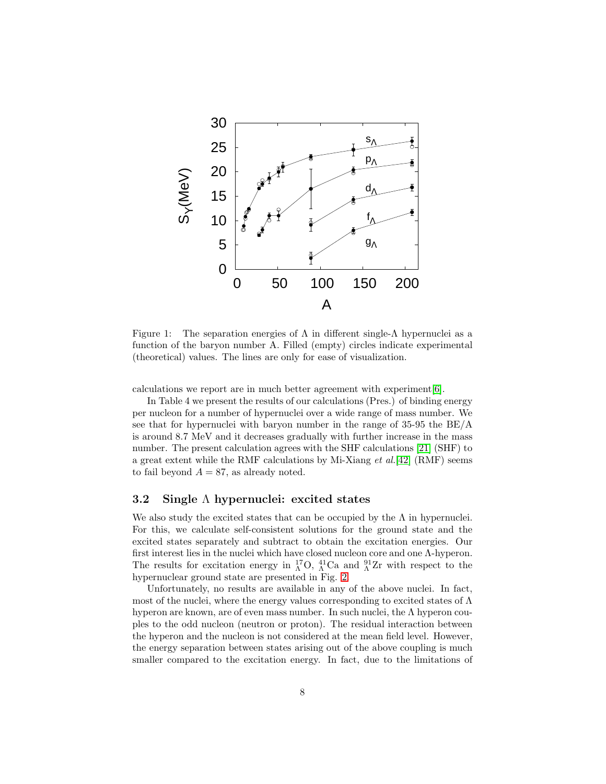

Figure 1: The separation energies of  $\Lambda$  in different single- $\Lambda$  hypernuclei as a function of the baryon number A. Filled (empty) circles indicate experimental (theoretical) values. The lines are only for ease of visualization.

calculations we report are in much better agreement with experiment[\[6\]](#page-13-5).

In Table 4 we present the results of our calculations (Pres.) of binding energy per nucleon for a number of hypernuclei over a wide range of mass number. We see that for hypernuclei with baryon number in the range of 35-95 the BE/A is around 8.7 MeV and it decreases gradually with further increase in the mass number. The present calculation agrees with the SHF calculations [\[21\]](#page-14-0) (SHF) to a great extent while the RMF calculations by Mi-Xiang *et al.*[\[42\]](#page-14-22) (RMF) seems to fail beyond  $A = 87$ , as already noted.

## 3.2 Single Λ hypernuclei: excited states

We also study the excited states that can be occupied by the  $\Lambda$  in hypernuclei. For this, we calculate self-consistent solutions for the ground state and the excited states separately and subtract to obtain the excitation energies. Our first interest lies in the nuclei which have closed nucleon core and one Λ-hyperon. The results for excitation energy in  ${}^{17}_{\Lambda}O$ ,  ${}^{41}_{\Lambda}Ca$  and  ${}^{91}_{\Lambda}Zr$  with respect to the hypernuclear ground state are presented in Fig. [2.](#page-10-0)

Unfortunately, no results are available in any of the above nuclei. In fact, most of the nuclei, where the energy values corresponding to excited states of  $\Lambda$ hyperon are known, are of even mass number. In such nuclei, the Λ hyperon couples to the odd nucleon (neutron or proton). The residual interaction between the hyperon and the nucleon is not considered at the mean field level. However, the energy separation between states arising out of the above coupling is much smaller compared to the excitation energy. In fact, due to the limitations of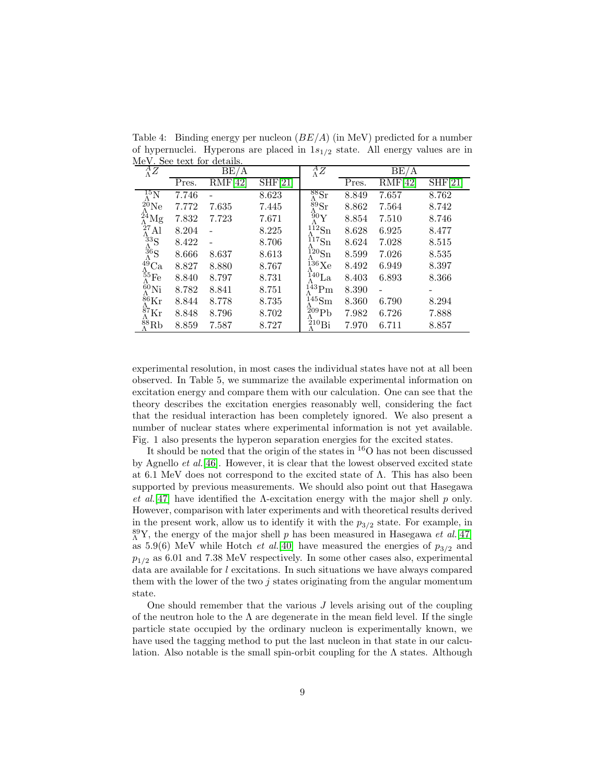| $^{A}_{\Lambda}Z$                                | BE/<br>'A |         |         | $^{A}_{\Lambda}Z$            |       | BE/A    |         |
|--------------------------------------------------|-----------|---------|---------|------------------------------|-------|---------|---------|
|                                                  | Pres.     | RMF[42] | SHF[21] |                              | Pres. | RMF[42] | SHF[21] |
| $^{15}_\Lambda \text{N}$                         | 7.746     |         | 8.623   | $^{88}_{\Lambda} \text{Sr}$  | 8.849 | 7.657   | 8.762   |
| $^{20}_{\Lambda}$ Ne                             | 7.772     | 7.635   | 7.445   | ${}^{89}_{\Lambda}Sr$        | 8.862 | 7.564   | 8.742   |
| $^{24}_{\Lambda}$ Mg                             | 7.832     | 7.723   | 7.671   | $^{90}_{\Lambda}Y$           | 8.854 | 7.510   | 8.746   |
| $\hat{A}^7\text{Al}$                             | 8.204     |         | 8.225   | $^{112}_{\Lambda}$ Sn        | 8.628 | 6.925   | 8.477   |
|                                                  | 8.422     |         | 8.706   | $^{117}_{\Lambda}$ Sn        | 8.624 | 7.028   | 8.515   |
| $\frac{33}{\Lambda}$ S<br>$\frac{36}{\Lambda}$ S | 8.666     | 8.637   | 8.613   | $^{120}\mathrm{Sn}$          | 8.599 | 7.026   | 8.535   |
| $^{49}_{\Lambda}$ Ca                             | 8.827     | 8.880   | 8.767   | $^{136}_{\Lambda}$ Xe        | 8.492 | 6.949   | 8.397   |
| $^{55}_\Lambda \mathrm{Fe}$                      | 8.840     | 8.797   | 8.731   | $^{140}_{\Lambda}$ La        | 8.403 | 6.893   | 8.366   |
| ${}^{60}_{\Lambda}$ Ni                           | 8.782     | 8.841   | 8.751   | $^{143}$ Pm                  | 8.390 |         |         |
| $^{86}_{\Lambda} \mathrm{Kr}$                    | 8.844     | 8.778   | 8.735   | $^{145}_{\Lambda} \text{Sm}$ | 8.360 | 6.790   | 8.294   |
| $^{87}_{\Lambda} \mathrm{Kr}$                    | 8.848     | 8.796   | 8.702   | $^{209}_{\Lambda}Pb$         | 7.982 | 6.726   | 7.888   |
| $^{88}_{\Lambda}$ Rb                             | 8.859     | 7.587   | 8.727   | $^{210}_{\Lambda} \text{Bi}$ | 7.970 | 6.711   | 8.857   |

Table 4: Binding energy per nucleon  $(BE/A)$  (in MeV) predicted for a number of hypernuclei. Hyperons are placed in  $1s_{1/2}$  state. All energy values are in MeV. See text for details.

experimental resolution, in most cases the individual states have not at all been observed. In Table 5, we summarize the available experimental information on excitation energy and compare them with our calculation. One can see that the theory describes the excitation energies reasonably well, considering the fact that the residual interaction has been completely ignored. We also present a number of nuclear states where experimental information is not yet available. Fig. 1 also presents the hyperon separation energies for the excited states.

It should be noted that the origin of the states in  ${}^{16}O$  has not been discussed by Agnello *et al.*[\[46\]](#page-15-0). However, it is clear that the lowest observed excited state at 6.1 MeV does not correspond to the excited state of  $\Lambda$ . This has also been supported by previous measurements. We should also point out that Hasegawa *et al.*[\[47\]](#page-15-1) have identified the Λ-excitation energy with the major shell p only. However, comparison with later experiments and with theoretical results derived in the present work, allow us to identify it with the  $p_{3/2}$  state. For example, in  $^{89}_{\Lambda}$ Y, the energy of the major shell p has been measured in Hasegawa *et al.*[\[47\]](#page-15-1) as 5.9(6) MeV while Hotch *et al.*[\[40\]](#page-14-19) have measured the energies of  $p_{3/2}$  and  $p_{1/2}$  as 6.01 and 7.38 MeV respectively. In some other cases also, experimental data are available for l excitations. In such situations we have always compared them with the lower of the two  $j$  states originating from the angular momentum state.

One should remember that the various  $J$  levels arising out of the coupling of the neutron hole to the  $\Lambda$  are degenerate in the mean field level. If the single particle state occupied by the ordinary nucleon is experimentally known, we have used the tagging method to put the last nucleon in that state in our calculation. Also notable is the small spin-orbit coupling for the  $\Lambda$  states. Although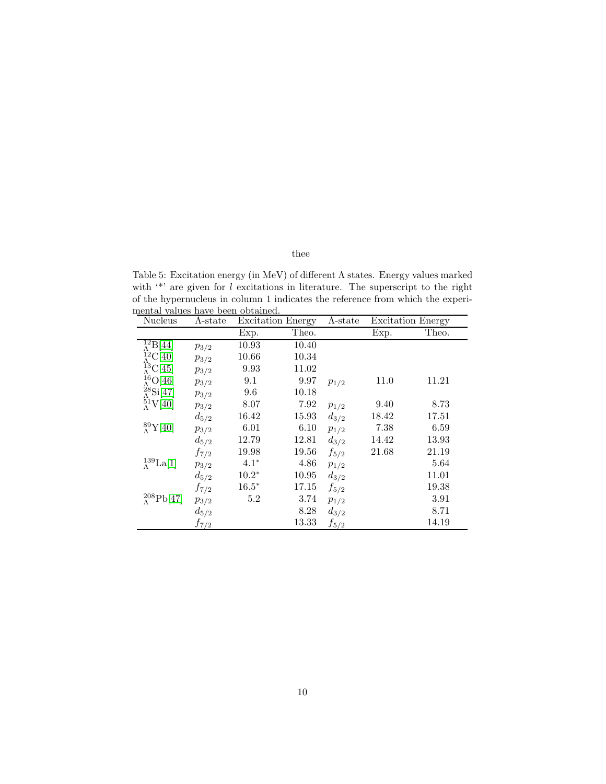thee

Table 5: Excitation energy (in MeV) of different  $\Lambda$  states. Energy values marked with '\*' are given for l excitations in literature. The superscript to the right of the hypernucleus in column 1 indicates the reference from which the experimental values have been obtained.

| Nucleus                    | $\Lambda$ -state |         | Excitation Energy | $\Lambda$ -state  |       | Excitation Energy |
|----------------------------|------------------|---------|-------------------|-------------------|-------|-------------------|
|                            |                  | Exp.    | Theo.             |                   | Exp.  | Theo.             |
| $^{12}_{\Lambda}B[44]$     | $p_{3/2}$        | 10.93   | 10.40             |                   |       |                   |
| $^{12}_{\Lambda}$ C[40]    | $p_{3/2}$        | 10.66   | 10.34             |                   |       |                   |
| $\frac{13}{\Lambda}$ C[45] | $p_{3/2}$        | 9.93    | 11.02             |                   |       |                   |
| $^{16}_{\Lambda}$ O[46]    | $p_{3/2}$        | 9.1     | 9.97              | $p_{1/2}$         | 11.0  | 11.21             |
| $^{28}_{\Lambda}$ Si[47]   | $p_{3/2}$        | 9.6     | 10.18             |                   |       |                   |
| $\frac{51}{\Lambda}$ V[40] | $p_{3/2}$        | 8.07    | 7.92              | $p_{1/2}$         | 9.40  | 8.73              |
|                            | $d_{5/2}$        | 16.42   | 15.93             | $d_{3/2}$         | 18.42 | 17.51             |
| $^{89}_{\Lambda}$ Y[40]    | $p_{3/2}$        | 6.01    | 6.10              | $p_{1/2}$         | 7.38  | 6.59              |
|                            | $d_{5/2}$        | 12.79   | 12.81             | $d_{3/2}$         | 14.42 | 13.93             |
|                            | $f_{7/2}$        | 19.98   | 19.56             | $f_{5/2}$         | 21.68 | 21.19             |
| $^{139}_{\Lambda}$ La[1]   | $p_{3/2}$        | $4.1*$  | 4.86              | $p_{1/2}$         |       | 5.64              |
|                            | $d_{5/2}$        | $10.2*$ | 10.95             | $d_{3/2}$         |       | 11.01             |
|                            | $f_{7/2}$        | $16.5*$ | 17.15             | $f_{5/2}$         |       | 19.38             |
| $^{208}_{\Lambda}Pb[47]$   | $p_{3/2}$        | 5.2     | 3.74              | $p_{1/2}$         |       | 3.91              |
|                            | $d_{5/2}$        |         | 8.28              | $d_{3/2}$         |       | 8.71              |
|                            | $f_{7/2}$        |         | 13.33             | $f_{\frac{5}{2}}$ |       | 14.19             |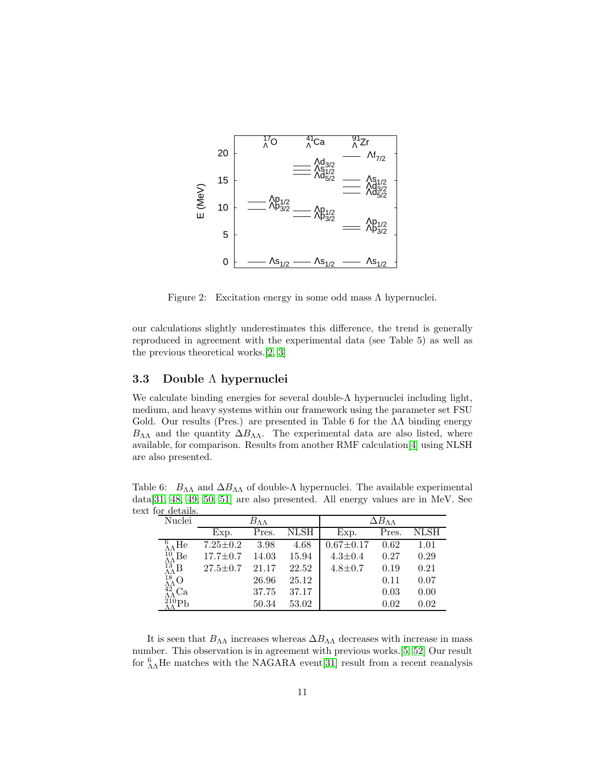

<span id="page-10-0"></span>Figure 2: Excitation energy in some odd mass Λ hypernuclei.

our calculations slightly underestimates this difference, the trend is generally reproduced in agreement with the experimental data (see Table 5) as well as the previous theoretical works.[\[2,](#page-13-1) [3\]](#page-13-2)

### 3.3 Double Λ hypernuclei

We calculate binding energies for several double-Λ hypernuclei including light, medium, and heavy systems within our framework using the parameter set FSU Gold. Our results (Pres.) are presented in Table 6 for the  $\Lambda\Lambda$  binding energy  $B_{\Lambda\Lambda}$  and the quantity  $\Delta B_{\Lambda\Lambda}$ . The experimental data are also listed, where available, for comparison. Results from another RMF calculation[\[4\]](#page-13-3) using NLSH are also presented.

Table 6:  $B_{\Lambda\Lambda}$  and  $\Delta B_{\Lambda\Lambda}$  of double- $\Lambda$  hypernuclei. The available experimental data[\[31,](#page-14-10) [48,](#page-15-3) [49,](#page-15-4) [50,](#page-15-5) [51\]](#page-15-6) are also presented. All energy values are in MeV. See text for details.

| Nuclei                                                             | $B_{\Lambda\Lambda}$ |       |       | $\Delta B_{\Lambda\Lambda}$ |       |      |  |
|--------------------------------------------------------------------|----------------------|-------|-------|-----------------------------|-------|------|--|
|                                                                    | Exp.                 | Pres. | NLSH  | Exp.                        | Pres. | NLSH |  |
| He                                                                 | $7.25 \pm 0.2$       | 3.98  | 4.68  | $0.67 \pm 0.17$             | 0.62  | 1.01 |  |
| $^{10}_{\Lambda\Lambda}{\rm Be}$                                   | $17.7 \pm 0.7$       | 14.03 | 15.94 | $4.3 \pm 0.4$               | 0.27  | 0.29 |  |
| $^{13}_{\Lambda\Lambda}$ B                                         | $27.5 \pm 0.7$       | 21.17 | 22.52 | $4.8 \pm 0.7$               | 0.19  | 0.21 |  |
| $^{18}_{\Lambda\Lambda}{\rm O}$<br>$^{42}_{\Lambda\Lambda}{\rm C}$ |                      | 26.96 | 25.12 |                             | 0.11  | 0.07 |  |
| Ca                                                                 |                      | 37.75 | 37.17 |                             | 0.03  | 0.00 |  |
| $^{210}_{\Lambda}Pb$                                               |                      | 50.34 | 53.02 |                             | 0.02  | 0.02 |  |

It is seen that  $B_{\Lambda\Lambda}$  increases whereas  $\Delta B_{\Lambda\Lambda}$  decreases with increase in mass number. This observation is in agreement with previous works.[\[5,](#page-13-4) [52\]](#page-15-7) Our result for  ${}_{\Lambda\Lambda}^{6}$ He matches with the NAGARA event[\[31\]](#page-14-10) result from a recent reanalysis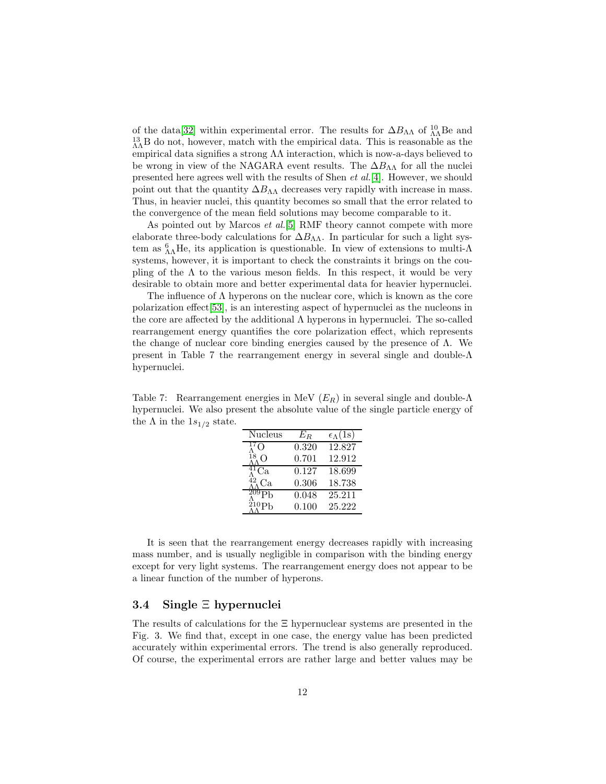of the data[\[32\]](#page-14-11) within experimental error. The results for  $\Delta B_{\Lambda\Lambda}$  of  ${}^{10}_{\Lambda\Lambda}$ Be and  $^{13}_{\Lambda\Lambda}$ B do not, however, match with the empirical data. This is reasonable as the empirical data signifies a strong  $\Lambda\Lambda$  interaction, which is now-a-days believed to be wrong in view of the NAGARA event results. The  $\Delta B_{\Lambda\Lambda}$  for all the nuclei presented here agrees well with the results of Shen *et al.*[\[4\]](#page-13-3). However, we should point out that the quantity  $\Delta B_{\Lambda\Lambda}$  decreases very rapidly with increase in mass. Thus, in heavier nuclei, this quantity becomes so small that the error related to the convergence of the mean field solutions may become comparable to it.

As pointed out by Marcos *et al.*[\[5\]](#page-13-4) RMF theory cannot compete with more elaborate three-body calculations for  $\Delta B_{\Lambda\Lambda}$ . In particular for such a light system as  ${}^{6}_{\Lambda\Lambda}$ He, its application is questionable. In view of extensions to multi- $\Lambda$ systems, however, it is important to check the constraints it brings on the coupling of the  $\Lambda$  to the various meson fields. In this respect, it would be very desirable to obtain more and better experimental data for heavier hypernuclei.

The influence of  $\Lambda$  hyperons on the nuclear core, which is known as the core polarization effect[\[53\]](#page-15-8), is an interesting aspect of hypernuclei as the nucleons in the core are affected by the additional  $\Lambda$  hyperons in hypernuclei. The so-called rearrangement energy quantifies the core polarization effect, which represents the change of nuclear core binding energies caused by the presence of  $Λ$ . We present in Table 7 the rearrangement energy in several single and double- $\Lambda$ hypernuclei.

Table 7: Rearrangement energies in MeV  $(E_R)$  in several single and double- $\Lambda$ hypernuclei. We also present the absolute value of the single particle energy of the  $\Lambda$  in the  $1s_{1/2}$  state.

| Nucleus                | $E_R\,$ | $\epsilon_{\Lambda}$ (1s) |
|------------------------|---------|---------------------------|
|                        | 0.320   | 12.827                    |
| $\frac{18}{4}$         | 0.701   | 12.912                    |
| ${}^{41}_{\Lambda}$ Ca | 0.127   | 18.699                    |
| $\frac{42}{4}$ Ca      | 0.306   | 18.738                    |
| Рh                     | 0.048   | 25.211                    |
|                        | 0.100   | 25.222                    |

It is seen that the rearrangement energy decreases rapidly with increasing mass number, and is usually negligible in comparison with the binding energy except for very light systems. The rearrangement energy does not appear to be a linear function of the number of hyperons.

### 3.4 Single Ξ hypernuclei

The results of calculations for the Ξ hypernuclear systems are presented in the Fig. 3. We find that, except in one case, the energy value has been predicted accurately within experimental errors. The trend is also generally reproduced. Of course, the experimental errors are rather large and better values may be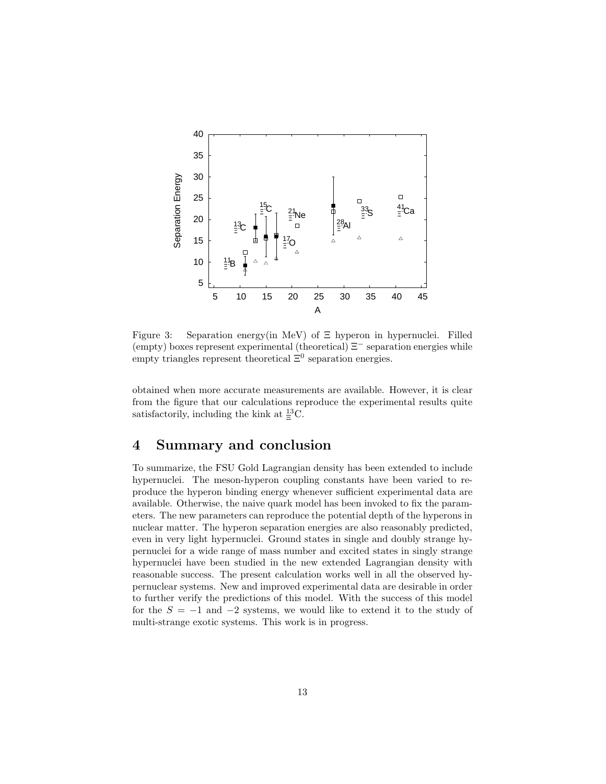

Figure 3: Separation energy(in MeV) of Ξ hyperon in hypernuclei. Filled (empty) boxes represent experimental (theoretical) Ξ<sup>−</sup> separation energies while empty triangles represent theoretical  $\Xi^0$  separation energies.

obtained when more accurate measurements are available. However, it is clear from the figure that our calculations reproduce the experimental results quite satisfactorily, including the kink at  $\frac{13}{5}$ C.

# 4 Summary and conclusion

To summarize, the FSU Gold Lagrangian density has been extended to include hypernuclei. The meson-hyperon coupling constants have been varied to reproduce the hyperon binding energy whenever sufficient experimental data are available. Otherwise, the naive quark model has been invoked to fix the parameters. The new parameters can reproduce the potential depth of the hyperons in nuclear matter. The hyperon separation energies are also reasonably predicted, even in very light hypernuclei. Ground states in single and doubly strange hypernuclei for a wide range of mass number and excited states in singly strange hypernuclei have been studied in the new extended Lagrangian density with reasonable success. The present calculation works well in all the observed hypernuclear systems. New and improved experimental data are desirable in order to further verify the predictions of this model. With the success of this model for the  $S = -1$  and  $-2$  systems, we would like to extend it to the study of multi-strange exotic systems. This work is in progress.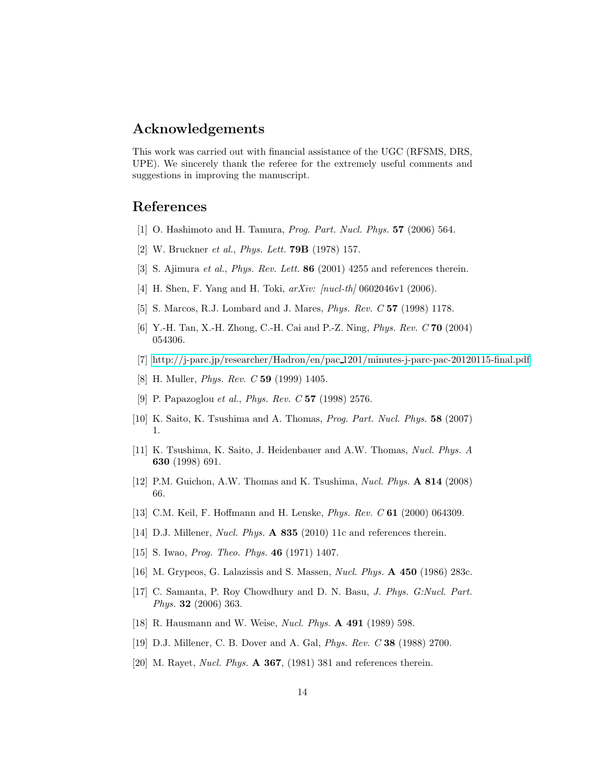# Acknowledgements

This work was carried out with financial assistance of the UGC (RFSMS, DRS, UPE). We sincerely thank the referee for the extremely useful comments and suggestions in improving the manuscript.

## <span id="page-13-0"></span>References

- <span id="page-13-1"></span>[1] O. Hashimoto and H. Tamura, *Prog. Part. Nucl. Phys.* 57 (2006) 564.
- <span id="page-13-2"></span>[2] W. Bruckner *et al.*, *Phys. Lett.* 79B (1978) 157.
- <span id="page-13-3"></span>[3] S. Ajimura *et al.*, *Phys. Rev. Lett.* 86 (2001) 4255 and references therein.
- <span id="page-13-4"></span>[4] H. Shen, F. Yang and H. Toki, *arXiv: [nucl-th]* 0602046v1 (2006).
- <span id="page-13-5"></span>[5] S. Marcos, R.J. Lombard and J. Mares, *Phys. Rev. C* 57 (1998) 1178.
- <span id="page-13-6"></span>[6] Y.-H. Tan, X.-H. Zhong, C.-H. Cai and P.-Z. Ning, *Phys. Rev. C* 70 (2004) 054306.
- <span id="page-13-7"></span>[7] [http://j-parc.jp/researcher/Hadron/en/pac](http://j-parc.jp/researcher/Hadron/en/pac_1201/minutes-j-parc-pac-20120115-final.pdf) 1201/minutes-j-parc-pac-20120115-final.pdf
- <span id="page-13-8"></span>[8] H. Muller, *Phys. Rev. C* 59 (1999) 1405.
- <span id="page-13-9"></span>[9] P. Papazoglou *et al.*, *Phys. Rev. C* 57 (1998) 2576.
- <span id="page-13-10"></span>[10] K. Saito, K. Tsushima and A. Thomas, *Prog. Part. Nucl. Phys.* 58 (2007) 1.
- [11] K. Tsushima, K. Saito, J. Heidenbauer and A.W. Thomas, *Nucl. Phys. A* 630 (1998) 691.
- <span id="page-13-12"></span><span id="page-13-11"></span>[12] P.M. Guichon, A.W. Thomas and K. Tsushima, *Nucl. Phys.* A 814 (2008) 66.
- <span id="page-13-13"></span>[13] C.M. Keil, F. Hoffmann and H. Lenske, *Phys. Rev. C* 61 (2000) 064309.
- <span id="page-13-14"></span>[14] D.J. Millener, *Nucl. Phys.* **A 835** (2010) 11c and references therein.
- <span id="page-13-15"></span>[15] S. Iwao, *Prog. Theo. Phys.* 46 (1971) 1407.
- <span id="page-13-16"></span>[16] M. Grypeos, G. Lalazissis and S. Massen, *Nucl. Phys.* A 450 (1986) 283c.
- [17] C. Samanta, P. Roy Chowdhury and D. N. Basu, *J. Phys. G:Nucl. Part. Phys.* 32 (2006) 363.
- <span id="page-13-18"></span><span id="page-13-17"></span>[18] R. Hausmann and W. Weise, *Nucl. Phys.* A 491 (1989) 598.
- <span id="page-13-19"></span>[19] D.J. Millener, C. B. Dover and A. Gal, *Phys. Rev. C* 38 (1988) 2700.
- [20] M. Rayet, *Nucl. Phys.* A 367, (1981) 381 and references therein.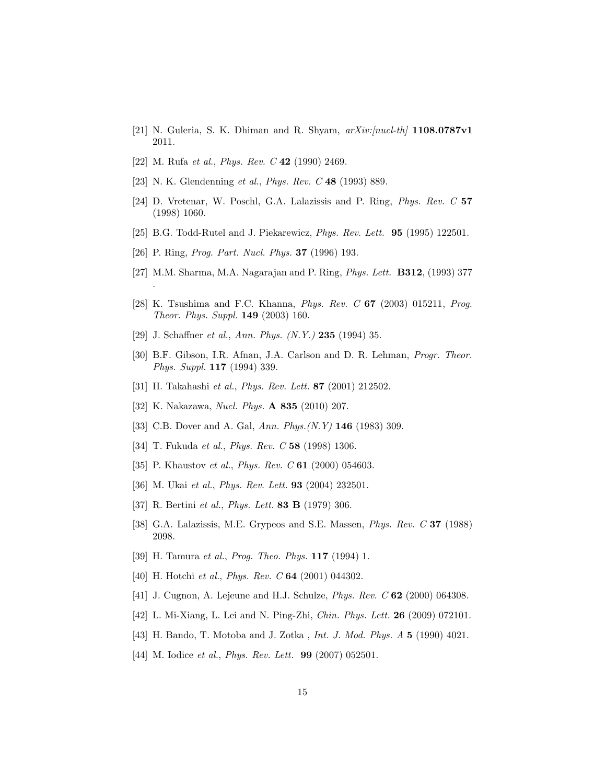- <span id="page-14-1"></span><span id="page-14-0"></span>[21] N. Guleria, S. K. Dhiman and R. Shyam, *arXiv:[nucl-th]* 1108.0787v1 2011.
- <span id="page-14-2"></span>[22] M. Rufa *et al.*, *Phys. Rev. C* 42 (1990) 2469.
- <span id="page-14-3"></span>[23] N. K. Glendenning *et al.*, *Phys. Rev. C* 48 (1993) 889.
- <span id="page-14-4"></span>[24] D. Vretenar, W. Poschl, G.A. Lalazissis and P. Ring, *Phys. Rev. C* 57 (1998) 1060.
- <span id="page-14-5"></span>[25] B.G. Todd-Rutel and J. Piekarewicz, *Phys. Rev. Lett.* 95 (1995) 122501.
- <span id="page-14-6"></span>[26] P. Ring, *Prog. Part. Nucl. Phys.* 37 (1996) 193.

.

- <span id="page-14-7"></span>[27] M.M. Sharma, M.A. Nagarajan and P. Ring, *Phys. Lett.* B312, (1993) 377
- [28] K. Tsushima and F.C. Khanna, *Phys. Rev. C* 67 (2003) 015211, *Prog. Theor. Phys. Suppl.* 149 (2003) 160.
- <span id="page-14-9"></span><span id="page-14-8"></span>[29] J. Schaffner *et al.*, *Ann. Phys. (N.Y.)* 235 (1994) 35.
- [30] B.F. Gibson, I.R. Afnan, J.A. Carlson and D. R. Lehman, *Progr. Theor. Phys. Suppl.* 117 (1994) 339.
- <span id="page-14-11"></span><span id="page-14-10"></span>[31] H. Takahashi *et al.*, *Phys. Rev. Lett.* 87 (2001) 212502.
- <span id="page-14-12"></span>[32] K. Nakazawa, *Nucl. Phys.* A 835 (2010) 207.
- <span id="page-14-13"></span>[33] C.B. Dover and A. Gal, *Ann. Phys.(N.Y)* 146 (1983) 309.
- <span id="page-14-14"></span>[34] T. Fukuda *et al.*, *Phys. Rev. C* 58 (1998) 1306.
- <span id="page-14-15"></span>[35] P. Khaustov *et al.*, *Phys. Rev. C* 61 (2000) 054603.
- <span id="page-14-16"></span>[36] M. Ukai *et al.*, *Phys. Rev. Lett.* 93 (2004) 232501.
- <span id="page-14-17"></span>[37] R. Bertini *et al.*, *Phys. Lett.* 83 B (1979) 306.
- <span id="page-14-18"></span>[38] G.A. Lalazissis, M.E. Grypeos and S.E. Massen, *Phys. Rev. C* 37 (1988) 2098.
- <span id="page-14-19"></span>[39] H. Tamura *et al.*, *Prog. Theo. Phys.* 117 (1994) 1.
- <span id="page-14-21"></span>[40] H. Hotchi *et al.*, *Phys. Rev. C* 64 (2001) 044302.
- <span id="page-14-22"></span>[41] J. Cugnon, A. Lejeune and H.J. Schulze, *Phys. Rev. C* 62 (2000) 064308.
- <span id="page-14-20"></span>[42] L. Mi-Xiang, L. Lei and N. Ping-Zhi, *Chin. Phys. Lett.* 26 (2009) 072101.
- <span id="page-14-23"></span>[43] H. Bando, T. Motoba and J. Zotka , *Int. J. Mod. Phys. A* 5 (1990) 4021.
- [44] M. Iodice *et al.*, *Phys. Rev. Lett.* 99 (2007) 052501.